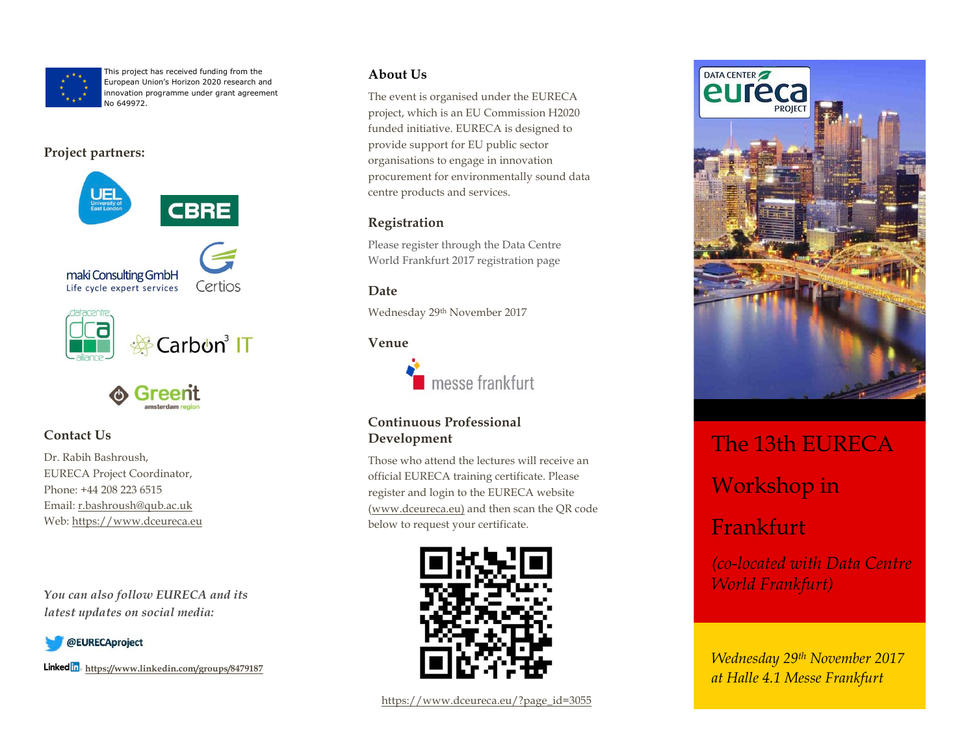

This project has received funding from the European Union's Horizon 2020 research and innovation programme under grant agreement No 649972.

### **Project partners:**





## **Contact Us**

Dr. Rabih Bashroush, EURECA Project Coordinator, Phone: +44 208 223 6515 Email: r.bashroush@qub.ac.uk Web: https://www.dceureca.eu

*You can also follow EURECA and its latest updates on social media:*



**Linked** in https://www.linkedin.com/groups/8479187

### **About Us**

The event is organised under the EURECA project, which is an EU Commission H2020 funded initiative. EURECA is designed to provide support for EU public sector organisations to engage in innovation procurement for environmentally sound data centre products and services.

## **Registration**

Please register through the Data Centre World Frankfurt 2017 registration page

### **Date**

Wednesday 29th November 2017

### **Venue**



### **Continuous Professional Development**

Those who attend the lectures will receive an official EURECA training certificate. Please register and login to the EURECA website (www.dceureca.eu) and then scan the QR code below to request your certificate.





# The 13th EURECA Workshop in

# Frankfurt

*(co-located with Data Centre World Frankfurt)*

*Wednesday 29th November 2017 at Halle 4.1 Messe Frankfurt*